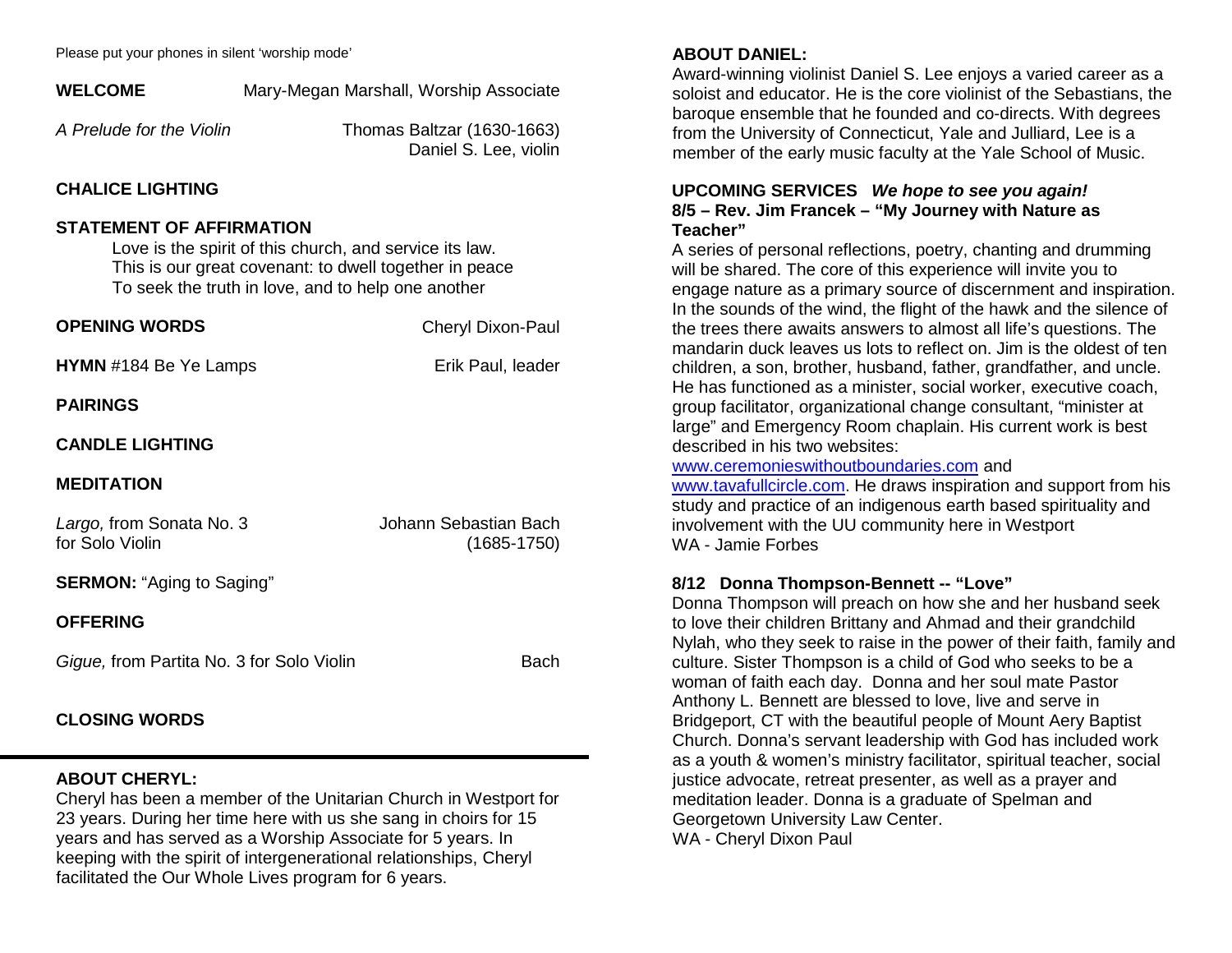Please put your phones in silent 'worship mode'

| <b>I</b> idade par your priorics in silent worship mode                                                                                                                                                    |                                                     |
|------------------------------------------------------------------------------------------------------------------------------------------------------------------------------------------------------------|-----------------------------------------------------|
| <b>WELCOME</b>                                                                                                                                                                                             | Mary-Megan Marshall, Worship Associate              |
| A Prelude for the Violin                                                                                                                                                                                   | Thomas Baltzar (1630-1663)<br>Daniel S. Lee, violin |
| <b>CHALICE LIGHTING</b>                                                                                                                                                                                    |                                                     |
| <b>STATEMENT OF AFFIRMATION</b><br>Love is the spirit of this church, and service its law.<br>This is our great covenant: to dwell together in peace<br>To seek the truth in love, and to help one another |                                                     |
| <b>OPENING WORDS</b>                                                                                                                                                                                       | <b>Cheryl Dixon-Paul</b>                            |
| <b>HYMN</b> #184 Be Ye Lamps                                                                                                                                                                               | Erik Paul, leader                                   |
| <b>PAIRINGS</b>                                                                                                                                                                                            |                                                     |
| <b>CANDLE LIGHTING</b>                                                                                                                                                                                     |                                                     |
| <b>MEDITATION</b>                                                                                                                                                                                          |                                                     |
| Largo, from Sonata No. 3<br>for Solo Violin                                                                                                                                                                | Johann Sebastian Bach<br>$(1685 - 1750)$            |
| <b>SERMON: "Aging to Saging"</b>                                                                                                                                                                           |                                                     |
| <b>OFFERING</b>                                                                                                                                                                                            |                                                     |
| Gigue, from Partita No. 3 for Solo Violin                                                                                                                                                                  | <b>Bach</b>                                         |
| <b>CLOSING WORDS</b>                                                                                                                                                                                       |                                                     |
| <b>ABOUT CHERYL:</b><br>Cheryl has been a member of the Unitarian Church in Westport for<br>23 years. During her time here with us she sang in choirs for 15                                               |                                                     |

years and has served as a Worship Associate for 5 years. In keeping with the spirit of intergenerational relationships, Cheryl

facilitated the Our Whole Lives program for 6 years.

**ABOUT DANIEL:**

Award-winning violinist Daniel S. Lee enjoys a varied career as a soloist and educator. He is the core violinist of the Sebastians, the baroque ensemble that he founded and co-directs. With degrees from the University of Connecticut, Yale and Julliard, Lee is a member of the early music faculty at the Yale School of Music.

#### **UPCOMING SERVICES** *We hope to see you again!* **8/5 – Rev. Jim Francek – "My Journey with Nature as Teacher"**

A series of personal reflections, poetry, chanting and drumming will be shared. The core of this experience will invite you to engage nature as a primary source of discernment and inspiration. In the sounds of the wind, the flight of the hawk and the silence of the trees there awaits answers to almost all life's questions. The mandarin duck leaves us lots to reflect on. Jim is the oldest of ten children, a son, brother, husband, father, grandfather, and uncle. He has functioned as a minister, social worker, executive coach, group facilitator, organizational change consultant, "minister at large" and Emergency Room chaplain. His current work is best described in his two websites:

#### www.ceremonieswithoutboundaries.com and

www.tavafullcircle.com. He draws inspiration and support from his study and practice of an indigenous earth based spirituality and involvement with the UU community here in Westport WA - Jamie Forbes

## **8/12 Donna Thompson-Bennett -- "Love"**

Donna Thompson will preach on how she and her husband seek to love their children Brittany and Ahmad and their grandchild Nylah, who they seek to raise in the power of their faith, family and culture. Sister Thompson is a child of God who seeks to be a woman of faith each day. Donna and her soul mate Pastor Anthony L. Bennett are blessed to love, live and serve in Bridgeport, CT with the beautiful people of Mount Aery Baptist Church. Donna's servant leadership with God has included work as a youth & women's ministry facilitator, spiritual teacher, social justice advocate, retreat presenter, as well as a prayer and meditation leader. Donna is a graduate of Spelman and Georgetown University Law Center. WA - Cheryl Dixon Paul